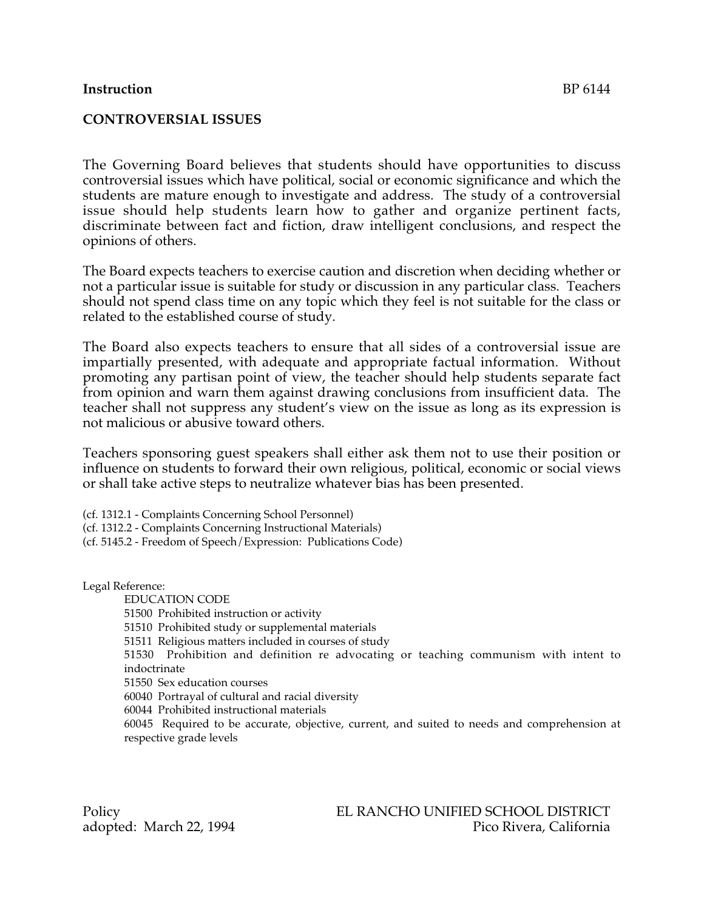## **Instruction** BP 6144

## **CONTROVERSIAL ISSUES**

The Governing Board believes that students should have opportunities to discuss controversial issues which have political, social or economic significance and which the students are mature enough to investigate and address. The study of a controversial issue should help students learn how to gather and organize pertinent facts, discriminate between fact and fiction, draw intelligent conclusions, and respect the opinions of others.

The Board expects teachers to exercise caution and discretion when deciding whether or not a particular issue is suitable for study or discussion in any particular class. Teachers should not spend class time on any topic which they feel is not suitable for the class or related to the established course of study.

The Board also expects teachers to ensure that all sides of a controversial issue are impartially presented, with adequate and appropriate factual information. Without promoting any partisan point of view, the teacher should help students separate fact from opinion and warn them against drawing conclusions from insufficient data. The teacher shall not suppress any student's view on the issue as long as its expression is not malicious or abusive toward others.

Teachers sponsoring guest speakers shall either ask them not to use their position or influence on students to forward their own religious, political, economic or social views or shall take active steps to neutralize whatever bias has been presented.

(cf. 1312.1 - Complaints Concerning School Personnel) (cf. 1312.2 - Complaints Concerning Instructional Materials) (cf. 5145.2 - Freedom of Speech/Expression: Publications Code)

Legal Reference:

EDUCATION CODE 51500 Prohibited instruction or activity 51510 Prohibited study or supplemental materials 51511 Religious matters included in courses of study 51530 Prohibition and definition re advocating or teaching communism with intent to indoctrinate 51550 Sex education courses 60040 Portrayal of cultural and racial diversity 60044 Prohibited instructional materials

60045 Required to be accurate, objective, current, and suited to needs and comprehension at respective grade levels